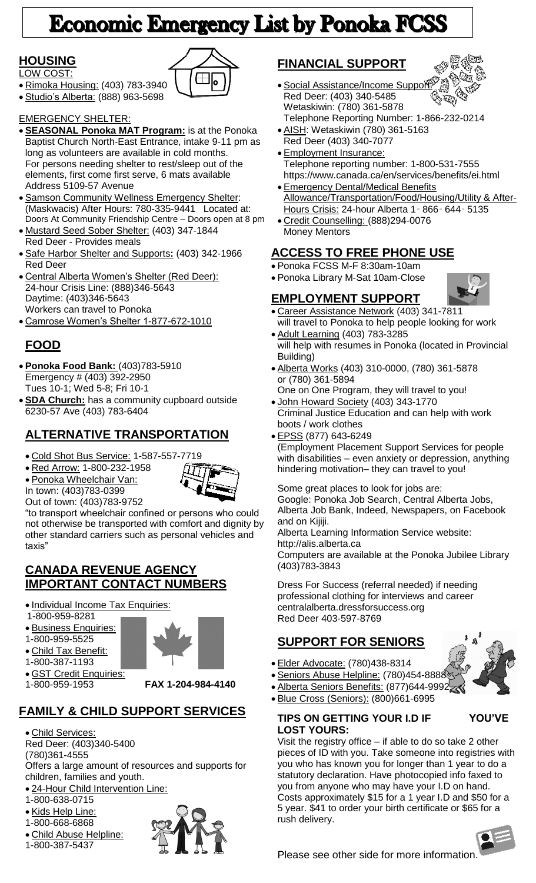# **Economic Emergency List by Ponoka FCSS**

# **HOUSING**

- LOW COST:
- Rimoka Housing: (403) 783-3940
- Studio's Alberta: (888) 963-5698

### EMERGENCY SHELTER:

- **SEASONAL Ponoka MAT Program:** is at the Ponoka Baptist Church North-East Entrance, intake 9-11 pm as long as volunteers are available in cold months. For persons needing shelter to rest/sleep out of the elements, first come first serve, 6 mats available Address 5109-57 Avenue
- **Samson Community Wellness Emergency Shelter:** (Maskwacis) After Hours: 780-335-9441 Located at: Doors At Community Friendship Centre – Doors open at 8 pm
- Mustard Seed Sober Shelter: (403) 347-1844 Red Deer - Provides meals
- Safe Harbor Shelter and Supports**:** (403) 342-1966 Red Deer
- Central Alberta Women's Shelter (Red Deer): 24-hour Crisis Line: (888)346-5643 Daytime: (403)346-5643 Workers can travel to Ponoka
- Camrose Women's Shelter 1-877-672-1010

# **FOOD**

- **Ponoka Food Bank:** (403)783-5910 Emergency # (403) 392-2950 Tues 10-1; Wed 5-8; Fri 10-1
- **SDA Church:** has a community cupboard outside 6230-57 Ave (403) 783-6404

# **ALTERNATIVE TRANSPORTATION**

Cold Shot Bus Service: 1-587-557-7719

Red Arrow: 1-800-232-1958

 Ponoka Wheelchair Van: In town: (403)783-0399



Out of town: (403)783-9752 "to transport wheelchair confined or persons who could not otherwise be transported with comfort and dignity by other standard carriers such as personal vehicles and taxis"

# **CANADA REVENUE AGENCY IMPORTANT CONTACT NUMBERS**

- Individual Income Tax Enquiries:
- 1-800-959-8281
- **Business Enquiries:**
- 1-800-959-5525
- Child Tax Benefit:
- 1-800-387-1193
- **GST Credit Enquiries:**<br>1-800-959-1953

1-800-959-1953 **FAX 1-204-984-4140**

# **FAMILY & CHILD SUPPORT SERVICES**

- Child Services: Red Deer: (403)340-5400 (780)361-4555 Offers a large amount of resources and supports for children, families and youth.
- 24-Hour Child Intervention Line:
- 1-800-638-0715
- · Kids Help Line:
- 1-800-668-6868
- Child Abuse Helpline:
- 1-800-387-5437



# **FINANCIAL SUPPORT**



- **Social Assistance/Income Support** Red Deer: (403) 340-5485 Wetaskiwin: (780) 361-5878 Telephone Reporting Number: 1-866-232-0214
- AISH: Wetaskiwin (780) 361-5163 Red Deer (403) 340-7077
- Employment Insurance: Telephone reporting number: 1-800-531-7555 https://www.canada.ca/en/services/benefits/ei.html
- **Emergency Dental/Medical Benefits** Allowance/Transportation/Food/Housing/Utility & After-Hours Crisis: 24-hour Alberta 1‑ 866‑ 644‑ 5135 Credit Counselling: (888)294-0076
- Money Mentors

# **ACCESS TO FREE PHONE USE**

- Ponoka FCSS M-F 8:30am-10am
- Ponoka Library M-Sat 10am-Close

# **EMPLOYMENT SUPPORT**

- Career Assistance Network (403) 341-7811 will travel to Ponoka to help people looking for work
- Adult Learning (403) 783-3285 will help with resumes in Ponoka (located in Provincial Building)
- Alberta Works (403) 310-0000, (780) 361-5878 or (780) 361-5894
- One on One Program, they will travel to you! • John Howard Society (403) 343-1770
- Criminal Justice Education and can help with work boots / work clothes
- EPSS (877) 643-6249

(Employment Placement Support Services for people with disabilities – even anxiety or depression, anything hindering motivation– they can travel to you!

Some great places to look for jobs are: Google: Ponoka Job Search, Central Alberta Jobs, Alberta Job Bank, Indeed, Newspapers, on Facebook and on Kijiji.

Alberta Learning Information Service website: http://alis.alberta.ca

Computers are available at the Ponoka Jubilee Library (403)783-3843

Dress For Success (referral needed) if needing professional clothing for interviews and career centralalberta.dressforsuccess.org Red Deer 403-597-8769

# **SUPPORT FOR SENIORS**

- Elder Advocate: (780)438-8314
- Seniors Abuse Helpline: (780)454-8888
- Alberta Seniors Benefits: (877)644-9992
- Blue Cross (Seniors): (800)661-6995

### **TIPS ON GETTING YOUR I.D IF YOU'VE LOST YOURS:**

Visit the registry office – if able to do so take 2 other pieces of ID with you. Take someone into registries with you who has known you for longer than 1 year to do a statutory declaration. Have photocopied info faxed to you from anyone who may have your I.D on hand. Costs approximately \$15 for a 1 year I.D and \$50 for a 5 year. \$41 to order your birth certificate or \$65 for a rush delivery.



Please see other side for more information.